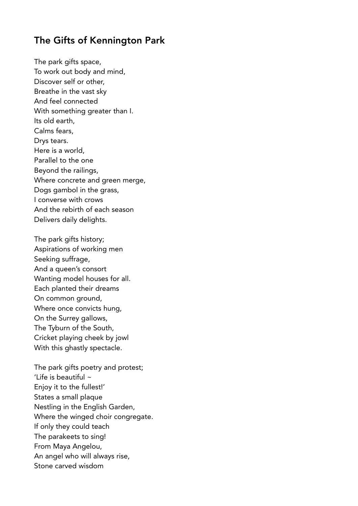## The Gifts of Kennington Park

The park gifts space, To work out body and mind, Discover self or other, Breathe in the vast sky And feel connected With something greater than I. Its old earth, Calms fears, Drys tears. Here is a world, Parallel to the one Beyond the railings, Where concrete and green merge, Dogs gambol in the grass, I converse with crows And the rebirth of each season Delivers daily delights.

The park gifts history; Aspirations of working men Seeking suffrage, And a queen's consort Wanting model houses for all. Each planted their dreams On common ground, Where once convicts hung, On the Surrey gallows, The Tyburn of the South, Cricket playing cheek by jowl With this ghastly spectacle.

The park gifts poetry and protest; 'Life is beautiful  $\sim$ Enjoy it to the fullest!' States a small plaque Nestling in the English Garden, Where the winged choir congregate. If only they could teach The parakeets to sing! From Maya Angelou, An angel who will always rise, Stone carved wisdom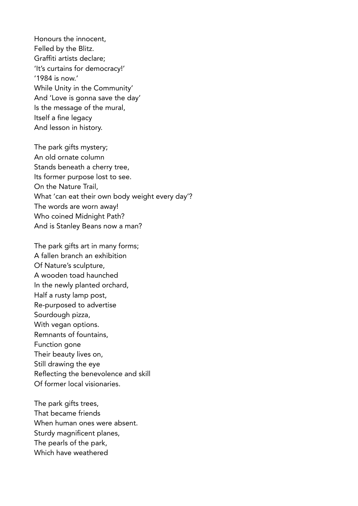Honours the innocent, Felled by the Blitz. Graffiti artists declare; 'It's curtains for democracy!' '1984 is now.' While Unity in the Community' And 'Love is gonna save the day' Is the message of the mural, Itself a fine legacy And lesson in history.

The park gifts mystery; An old ornate column Stands beneath a cherry tree, Its former purpose lost to see. On the Nature Trail, What 'can eat their own body weight every day'? The words are worn away! Who coined Midnight Path? And is Stanley Beans now a man?

The park gifts art in many forms; A fallen branch an exhibition Of Nature's sculpture, A wooden toad haunched In the newly planted orchard, Half a rusty lamp post, Re-purposed to advertise Sourdough pizza, With vegan options. Remnants of fountains, Function gone Their beauty lives on, Still drawing the eye Reflecting the benevolence and skill Of former local visionaries.

The park gifts trees, That became friends When human ones were absent. Sturdy magnificent planes, The pearls of the park, Which have weathered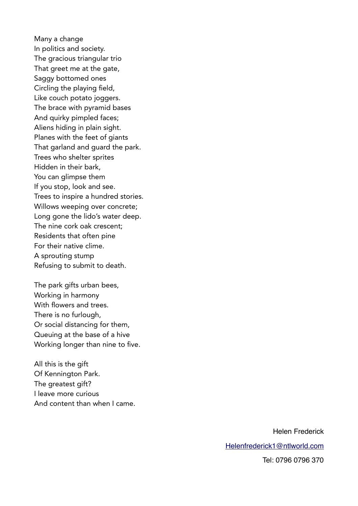Many a change In politics and society. The gracious triangular trio That greet me at the gate, Saggy bottomed ones Circling the playing field, Like couch potato joggers. The brace with pyramid bases And quirky pimpled faces; Aliens hiding in plain sight. Planes with the feet of giants That garland and guard the park. Trees who shelter sprites Hidden in their bark, You can glimpse them If you stop, look and see. Trees to inspire a hundred stories. Willows weeping over concrete; Long gone the lido's water deep. The nine cork oak crescent; Residents that often pine For their native clime. A sprouting stump Refusing to submit to death.

The park gifts urban bees, Working in harmony With flowers and trees. There is no furlough, Or social distancing for them, Queuing at the base of a hive Working longer than nine to five.

All this is the gift Of Kennington Park. The greatest gift? I leave more curious And content than when I came.

Helen Frederick

[Helenfrederick1@ntlworld.com](mailto:Helenfrederick1@ntlworld.com)

Tel: 0796 0796 370